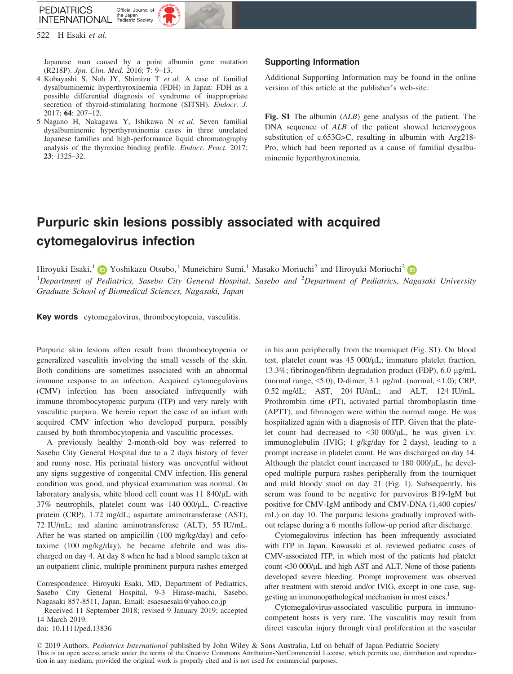

522 H Esaki et al.

Japanese man caused by a point albumin gene mutation (R218P). *Jpn. Clin. Med.* 2016;  $7: 9-13$ .

- (R218P). Jpn. Clin. Med. 2016; 7: 9–13. 4 Kobayashi S, Noh JY, Shimizu T et al. A case of familial dysalbuminemic hyperthyroxinemia (FDH) in Japan: FDH as a possible differential diagnosis of syndrome of inappropriate secretion of thyroid-stimulating hormone (SITSH). *Endocr. J.* 2017; **64**: 207-12.
- 2017; 64: 207–12. 5 Nagano H, Nakagawa Y, Ishikawa N et al. Seven familial dysalbuminemic hyperthyroxinemia cases in three unrelated Japanese families and high-performance liquid chromatography analysis of the thyroxine binding profile. Endocr. Pract. 2017; 23: 1325–32.

## Supporting Information

Additional Supporting Information may be found in the online version of this article at the publisher's web-site:

Fig. S1 The albumin (ALB) gene analysis of the patient. The DNA sequence of *ALB* of the patient showed heterozygous substitution of c.653G>C, resulting in albumin with Arg218- Pro, which had been reported as a cause of familial dysalbuminemic hyperthyroxinemia.

# Purpuric skin lesions possibly associated with acquired cytomegalovirus infection

Hiroyuki Esaki,<sup>[1](https://orcid.org/0000-0003-4285-2909)</sup> D Yoshikazu Otsubo,<sup>1</sup> Muneichiro Sumi,<sup>1</sup> Masako Moriuchi<sup>[2](https://orcid.org/0000-0001-7448-8115)</sup> and Hiroyuki Moriuchi<sup>2</sup> D <sup>1</sup>Department of Pediatrics, Sasebo City General Hospital, Sasebo and <sup>2</sup>Department of Pediatrics, Nagasaki University Graduate School of Biomedical Sciences, Nagasaki, Japan

Key words cytomegalovirus, thrombocytopenia, vasculitis.

Purpuric skin lesions often result from thrombocytopenia or generalized vasculitis involving the small vessels of the skin. Both conditions are sometimes associated with an abnormal immune response to an infection. Acquired cytomegalovirus (CMV) infection has been associated infrequently with immune thrombocytopenic purpura (ITP) and very rarely with vasculitic purpura. We herein report the case of an infant with acquired CMV infection who developed purpura, possibly caused by both thrombocytopenia and vasculitic processes.

A previously healthy 2-month-old boy was referred to Sasebo City General Hospital due to a 2 days history of fever and runny nose. His perinatal history was uneventful without any signs suggestive of congenital CMV infection. His general condition was good, and physical examination was normal. On laboratory analysis, white blood cell count was 11 840/µL with 37% neutrophils, platelet count was 140 000/µL, C-reactive protein (CRP), 1.72 mg/dL; aspartate aminotransferase (AST), 72 IU/mL; and alanine aminotransferase (ALT), 55 IU/mL. After he was started on ampicillin (100 mg/kg/day) and cefotaxime (100 mg/kg/day), he became afebrile and was discharged on day 4. At day 8 when he had a blood sample taken at an outpatient clinic, multiple prominent purpura rashes emerged

Correspondence: Hiroyuki Esaki, MD, Department of Pediatrics, Sasebo City General Hospital, 9-3 Hirase-machi, Sasebo, Nagasaki 857-8511, Japan. Email: [esaesaesaki@yahoo.co.jp](mailto:)

Received 11 September 2018; revised 9 January 2019; accepted 14 March 2019.

doi: 10.1111/ped.13836

in his arm peripherally from the tourniquet (Fig. S1). On blood test, platelet count was 45 000/µL; immature platelet fraction, 13.3%; fibrinogen/fibrin degradation product (FDP), 6.0 µg/mL (normal range,  $\leq 5.0$ ); D-dimer, 3.1 µg/mL (normal,  $\leq 1.0$ ); CRP, 0.52 mg/dL; AST, 204 IU/mL; and ALT, 124 IU/mL. Prothrombin time (PT), activated partial thromboplastin time (APTT), and fibrinogen were within the normal range. He was hospitalized again with a diagnosis of ITP. Given that the platelet count had decreased to  $\langle 30\ 000/\mu L$ , he was given i.v. immunoglobulin (IVIG; 1 g/kg/day for 2 days), leading to a prompt increase in platelet count. He was discharged on day 14. Although the platelet count increased to  $180\ 000/\mu L$ , he developed multiple purpura rashes peripherally from the tourniquet and mild bloody stool on day 21 (Fig. 1). Subsequently, his serum was found to be negative for parvovirus B19-IgM but positive for CMV-IgM antibody and CMV-DNA (1,400 copies/ mL) on day 10. The purpuric lesions gradually improved without relapse during a 6 months follow-up period after discharge.

Cytomegalovirus infection has been infrequently associated with ITP in Japan. Kawasaki et al. reviewed pediatric cases of CMV-associated ITP, in which most of the patients had platelet count <30 000/µL and high AST and ALT. None of those patients developed severe bleeding. Prompt improvement was observed after treatment with steroid and/or IVIG, except in one case, suggesting an immunopathological mechanism in most cases.<sup>1</sup>

Cytomegalovirus-associated vasculitic purpura in immunocompetent hosts is very rare. The vasculitis may result from direct vascular injury through viral proliferation at the vascular

© 2019 Authors. Pediatrics International published by John Wiley & Sons Australia, Ltd on behalf of Japan Pediatric Society This is an open access article under the terms of the [Creative Commons Attribution-NonCommercial](http://creativecommons.org/licenses/by-nc/4.0/) License, which permits use, distribution and reproduction in any medium, provided the original work is properly cited and is not used for commercial purposes.